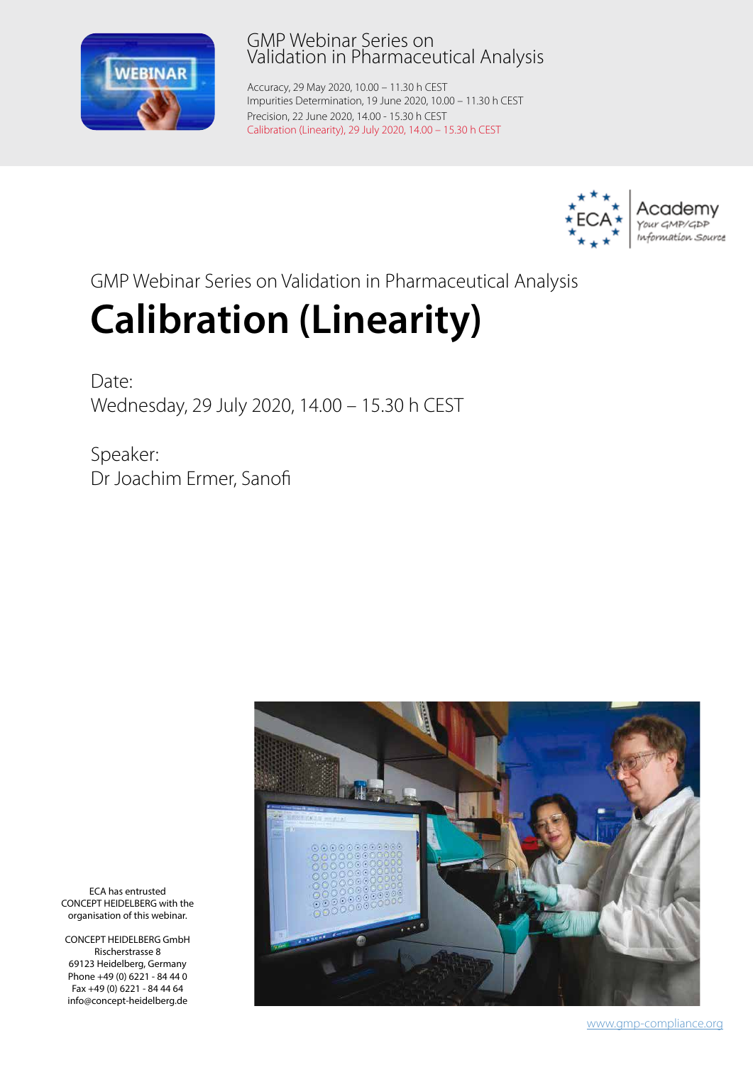

## GMP Webinar Series on Validation in Pharmaceutical Analysis

Accuracy, 29 May 2020, 10.00 – 11.30 h CEST Impurities Determination, 19 June 2020, 10.00 – 11.30 h CEST Precision, 22 June 2020, 14.00 - 15.30 h CEST Calibration (Linearity), 29 July 2020, 14.00 – 15.30 h CEST



GMP Webinar Series on Validation in Pharmaceutical Analysis

# **Calibration (Linearity)**

Date<sup>.</sup> Wednesday, 29 July 2020, 14.00 – 15.30 h CEST

Speaker: Dr Joachim Ermer, Sanofi



ECA has entrusted CONCEPT HEIDELBERG with the organisation of this webinar.

CONCEPT HEIDELBERG GmbH Rischerstrasse 8 69123 Heidelberg, Germany Phone +49 (0) 6221 - 84 44 0 Fax +49 (0) 6221 - 84 44 64 info@concept-heidelberg.de